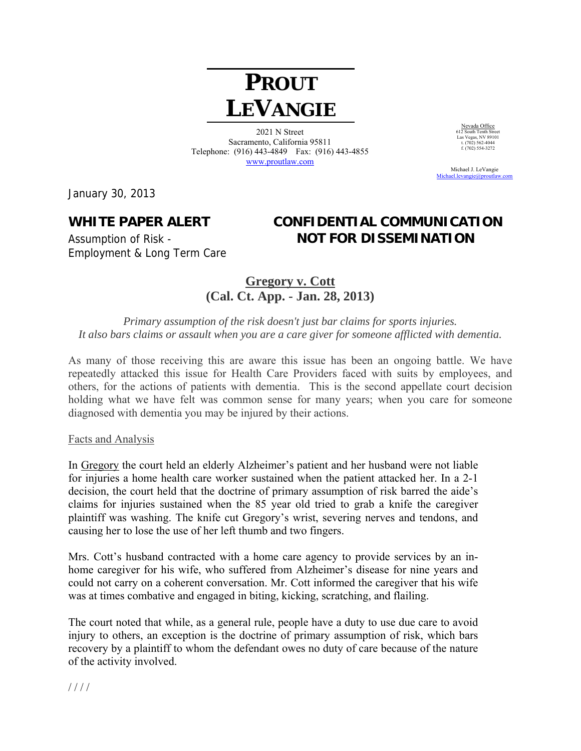# **PROUT LEVANGIE**

2021 N Street Sacramento, California 95811 Telephone: (916) 443-4849 Fax: (916) 443-4855 www.proutlaw.com

Michael J. LeVangie

January 30, 2013

Employment & Long Term Care

## **WHITE PAPER ALERT CONFIDENTIAL COMMUNICATION**  Assumption of Risk - **NOT FOR DISSEMINATION**

Nevada Office 612 South Tenth Street Las Vegas, NV 89101 t. (702) 562-4044  $f. (702) 302 - 4044$ <br>f. (702) 554-3272

Michael.levangie@proutlaw

### **Gregory v. Cott (Cal. Ct. App. - Jan. 28, 2013)**

*Primary assumption of the risk doesn't just bar claims for sports injuries. It also bars claims or assault when you are a care giver for someone afflicted with dementia.* 

As many of those receiving this are aware this issue has been an ongoing battle. We have repeatedly attacked this issue for Health Care Providers faced with suits by employees, and others, for the actions of patients with dementia. This is the second appellate court decision holding what we have felt was common sense for many years; when you care for someone diagnosed with dementia you may be injured by their actions.

#### Facts and Analysis

In Gregory the court held an elderly Alzheimer's patient and her husband were not liable for injuries a home health care worker sustained when the patient attacked her. In a 2-1 decision, the court held that the doctrine of primary assumption of risk barred the aide's claims for injuries sustained when the 85 year old tried to grab a knife the caregiver plaintiff was washing. The knife cut Gregory's wrist, severing nerves and tendons, and causing her to lose the use of her left thumb and two fingers.

Mrs. Cott's husband contracted with a home care agency to provide services by an inhome caregiver for his wife, who suffered from Alzheimer's disease for nine years and could not carry on a coherent conversation. Mr. Cott informed the caregiver that his wife was at times combative and engaged in biting, kicking, scratching, and flailing.

The court noted that while, as a general rule, people have a duty to use due care to avoid injury to others, an exception is the doctrine of primary assumption of risk, which bars recovery by a plaintiff to whom the defendant owes no duty of care because of the nature of the activity involved.